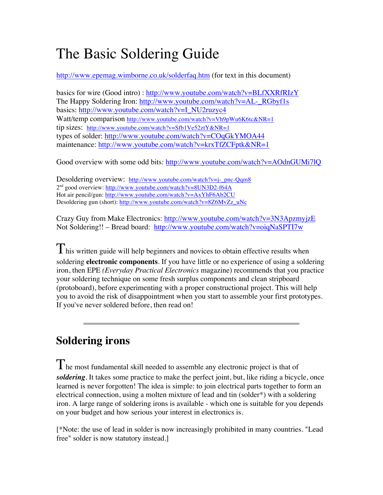## The Basic Soldering Guide

http://www.epemag.wimborne.co.uk/solderfaq.htm (for text in this document)

basics for wire (Good intro) : http://www.youtube.com/watch?v=BLfXXRfRIzY The Happy Soldering Iron: http://www.youtube.com/watch?v=AL-\_RGbyf1s basics: http://www.youtube.com/watch?v=I\_NU2ruzyc4 Watt/temp comparison http://www.youtube.com/watch?v=Vh9pWu6K6tc&NR=1 tip sizes: http://www.youtube.com/watch?v=Sfb1Ve52ztY&NR=1 types of solder: http://www.youtube.com/watch?v=COqGkYMOA44 maintenance: http://www.youtube.com/watch?v=krxTfZCFptk&NR=1

Good overview with some odd bits: http://www.youtube.com/watch?v=AOdnGUMi7lQ

Desoldering overview: http://www.youtube.com/watch?v=j-\_pnc-Qqm8 2nd good overview: http://www.youtube.com/watch?v=8UN3D2-f64A Hot air pencil/gun: http://www.youtube.com/watch?v=AxYhF6Ab2CU Desoldering gun (short): http://www.youtube.com/watch?v=8Z6MvZz\_uNc

Crazy Guy from Make Electronics: http://www.youtube.com/watch?v=3N3ApzmyjzE Not Soldering!! – Bread board: http://www.youtube.com/watch?v=oiqNaSPTI7w

 $T$ his written guide will help beginners and novices to obtain effective results when soldering **electronic components**. If you have little or no experience of using a soldering iron, then EPE *(Everyday Practical Electronics* magazine) recommends that you practice your soldering technique on some fresh surplus components and clean stripboard (protoboard), before experimenting with a proper constructional project. This will help you to avoid the risk of disappointment when you start to assemble your first prototypes. If you've never soldered before, then read on!

## **Soldering irons**

The most fundamental skill needed to assemble any electronic project is that of *soldering*. It takes some practice to make the perfect joint, but, like riding a bicycle, once learned is never forgotten! The idea is simple: to join electrical parts together to form an electrical connection, using a molten mixture of lead and tin (solder\*) with a soldering iron. A large range of soldering irons is available - which one is suitable for you depends on your budget and how serious your interest in electronics is.

[\*Note: the use of lead in solder is now increasingly prohibited in many countries. "Lead free" solder is now statutory instead.]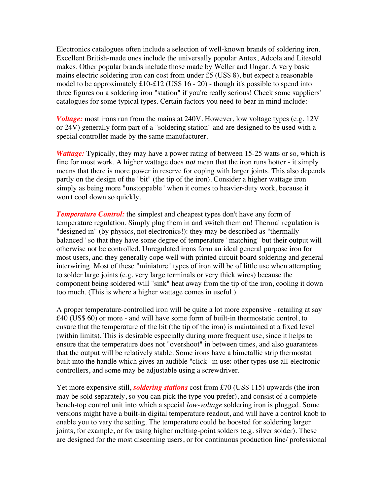Electronics catalogues often include a selection of well-known brands of soldering iron. Excellent British-made ones include the universally popular Antex, Adcola and Litesold makes. Other popular brands include those made by Weller and Ungar. A very basic mains electric soldering iron can cost from under £5 (US\$ 8), but expect a reasonable model to be approximately £10-£12 (US\$  $16 - 20$ ) - though it's possible to spend into three figures on a soldering iron "station" if you're really serious! Check some suppliers' catalogues for some typical types. Certain factors you need to bear in mind include:-

*Voltage:* most irons run from the mains at 240V. However, low voltage types (e.g. 12V) or 24V) generally form part of a "soldering station" and are designed to be used with a special controller made by the same manufacturer.

*Wattage:* Typically, they may have a power rating of between 15-25 watts or so, which is fine for most work. A higher wattage does *not* mean that the iron runs hotter - it simply means that there is more power in reserve for coping with larger joints. This also depends partly on the design of the "bit" (the tip of the iron). Consider a higher wattage iron simply as being more "unstoppable" when it comes to heavier-duty work, because it won't cool down so quickly.

*Temperature Control:* the simplest and cheapest types don't have any form of temperature regulation. Simply plug them in and switch them on! Thermal regulation is "designed in" (by physics, not electronics!): they may be described as "thermally balanced" so that they have some degree of temperature "matching" but their output will otherwise not be controlled. Unregulated irons form an ideal general purpose iron for most users, and they generally cope well with printed circuit board soldering and general interwiring. Most of these "miniature" types of iron will be of little use when attempting to solder large joints (e.g. very large terminals or very thick wires) because the component being soldered will "sink" heat away from the tip of the iron, cooling it down too much. (This is where a higher wattage comes in useful.)

A proper temperature-controlled iron will be quite a lot more expensive - retailing at say £40 (US\$ 60) or more - and will have some form of built-in thermostatic control, to ensure that the temperature of the bit (the tip of the iron) is maintained at a fixed level (within limits). This is desirable especially during more frequent use, since it helps to ensure that the temperature does not "overshoot" in between times, and also guarantees that the output will be relatively stable. Some irons have a bimetallic strip thermostat built into the handle which gives an audible "click" in use: other types use all-electronic controllers, and some may be adjustable using a screwdriver.

Yet more expensive still, *soldering stations* cost from £70 (US\$ 115) upwards (the iron may be sold separately, so you can pick the type you prefer), and consist of a complete bench-top control unit into which a special *low-voltage* soldering iron is plugged. Some versions might have a built-in digital temperature readout, and will have a control knob to enable you to vary the setting. The temperature could be boosted for soldering larger joints, for example, or for using higher melting-point solders (e.g. silver solder). These are designed for the most discerning users, or for continuous production line/ professional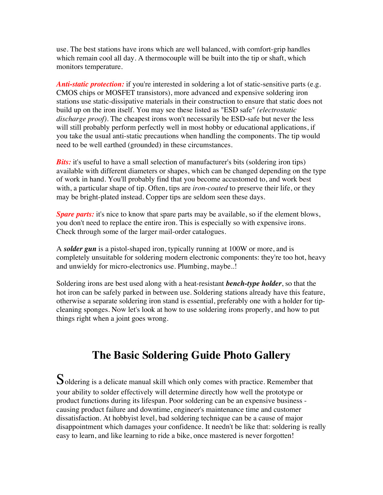use. The best stations have irons which are well balanced, with comfort-grip handles which remain cool all day. A thermocouple will be built into the tip or shaft, which monitors temperature.

*Anti-static protection:* if you're interested in soldering a lot of static-sensitive parts (e.g. CMOS chips or MOSFET transistors), more advanced and expensive soldering iron stations use static-dissipative materials in their construction to ensure that static does not build up on the iron itself. You may see these listed as "ESD safe" *(electrostatic discharge proof)*. The cheapest irons won't necessarily be ESD-safe but never the less will still probably perform perfectly well in most hobby or educational applications, if you take the usual anti-static precautions when handling the components. The tip would need to be well earthed (grounded) in these circumstances.

*Bits:* it's useful to have a small selection of manufacturer's bits (soldering iron tips) available with different diameters or shapes, which can be changed depending on the type of work in hand. You'll probably find that you become accustomed to, and work best with, a particular shape of tip. Often, tips are *iron-coated* to preserve their life, or they may be bright-plated instead. Copper tips are seldom seen these days.

**Spare parts:** it's nice to know that spare parts may be available, so if the element blows, you don't need to replace the entire iron. This is especially so with expensive irons. Check through some of the larger mail-order catalogues.

A *solder gun* is a pistol-shaped iron, typically running at 100W or more, and is completely unsuitable for soldering modern electronic components: they're too hot, heavy and unwieldy for micro-electronics use. Plumbing, maybe..!

Soldering irons are best used along with a heat-resistant *bench-type holder*, so that the hot iron can be safely parked in between use. Soldering stations already have this feature, otherwise a separate soldering iron stand is essential, preferably one with a holder for tipcleaning sponges. Now let's look at how to use soldering irons properly, and how to put things right when a joint goes wrong.

## **The Basic Soldering Guide Photo Gallery**

Soldering is a delicate manual skill which only comes with practice. Remember that your ability to solder effectively will determine directly how well the prototype or product functions during its lifespan. Poor soldering can be an expensive business causing product failure and downtime, engineer's maintenance time and customer dissatisfaction. At hobbyist level, bad soldering technique can be a cause of major disappointment which damages your confidence. It needn't be like that: soldering is really easy to learn, and like learning to ride a bike, once mastered is never forgotten!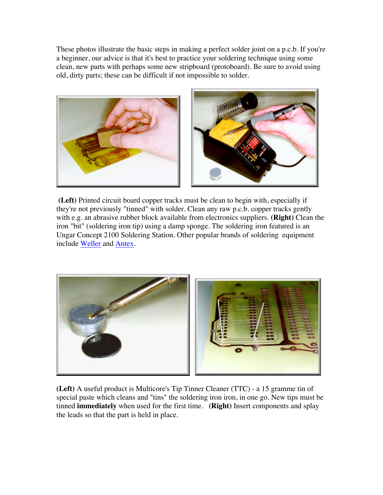These photos illustrate the basic steps in making a perfect solder joint on a p.c.b. If you're a beginner, our advice is that it's best to practice your soldering technique using some clean, new parts with perhaps some new stripboard (protoboard). Be sure to avoid using old, dirty parts; these can be difficult if not impossible to solder.



**(Left)** Printed circuit board copper tracks must be clean to begin with, especially if they're not previously "tinned" with solder. Clean any raw p.c.b. copper tracks gently with e.g. an abrasive rubber block available from electronics suppliers. **(Right)** Clean the iron "bit" (soldering iron tip) using a damp sponge. The soldering iron featured is an Ungar Concept 2100 Soldering Station. Other popular brands of soldering equipment include Weller and Antex.



**(Left)** A useful product is Multicore's Tip Tinner Cleaner (TTC) - a 15 gramme tin of special paste which cleans and "tins" the soldering iron iron, in one go. New tips must be tinned **immediately** when used for the first time. **(Right)** Insert components and splay the leads so that the part is held in place.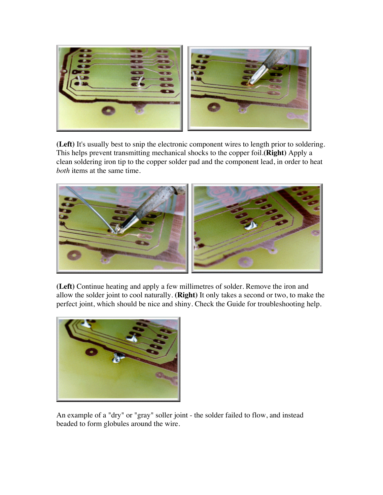

**(Left)** It's usually best to snip the electronic component wires to length prior to soldering. This helps prevent transmitting mechanical shocks to the copper foil.**(Right)** Apply a clean soldering iron tip to the copper solder pad and the component lead, in order to heat *both* items at the same time.



**(Left)** Continue heating and apply a few millimetres of solder. Remove the iron and allow the solder joint to cool naturally. **(Right)** It only takes a second or two, to make the perfect joint, which should be nice and shiny. Check the Guide for troubleshooting help.



An example of a "dry" or "gray" soller joint - the solder failed to flow, and instead beaded to form globules around the wire.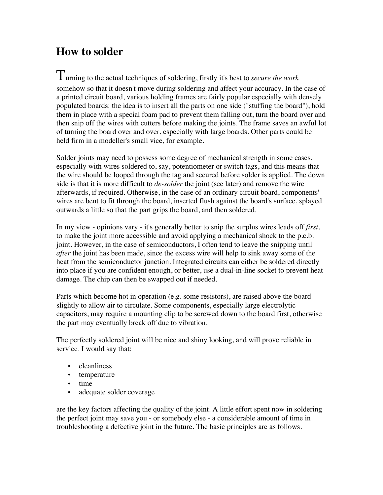## **How to solder**

# Turning to the actual techniques of soldering, firstly it's best to *secure the work*

somehow so that it doesn't move during soldering and affect your accuracy. In the case of a printed circuit board, various holding frames are fairly popular especially with densely populated boards: the idea is to insert all the parts on one side ("stuffing the board"), hold them in place with a special foam pad to prevent them falling out, turn the board over and then snip off the wires with cutters before making the joints. The frame saves an awful lot of turning the board over and over, especially with large boards. Other parts could be held firm in a modeller's small vice, for example.

Solder joints may need to possess some degree of mechanical strength in some cases, especially with wires soldered to, say, potentiometer or switch tags, and this means that the wire should be looped through the tag and secured before solder is applied. The down side is that it is more difficult to *de-solder* the joint (see later) and remove the wire afterwards, if required. Otherwise, in the case of an ordinary circuit board, components' wires are bent to fit through the board, inserted flush against the board's surface, splayed outwards a little so that the part grips the board, and then soldered.

In my view - opinions vary - it's generally better to snip the surplus wires leads off *first*, to make the joint more accessible and avoid applying a mechanical shock to the p.c.b. joint. However, in the case of semiconductors, I often tend to leave the snipping until *after* the joint has been made, since the excess wire will help to sink away some of the heat from the semiconductor junction. Integrated circuits can either be soldered directly into place if you are confident enough, or better, use a dual-in-line socket to prevent heat damage. The chip can then be swapped out if needed.

Parts which become hot in operation (e.g. some resistors), are raised above the board slightly to allow air to circulate. Some components, especially large electrolytic capacitors, may require a mounting clip to be screwed down to the board first, otherwise the part may eventually break off due to vibration.

The perfectly soldered joint will be nice and shiny looking, and will prove reliable in service. I would say that:

- cleanliness
- temperature
- time
- adequate solder coverage

are the key factors affecting the quality of the joint. A little effort spent now in soldering the perfect joint may save you - or somebody else - a considerable amount of time in troubleshooting a defective joint in the future. The basic principles are as follows.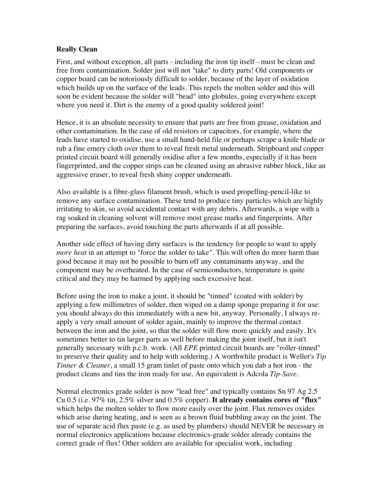#### **Really Clean**

First, and without exception, all parts - including the iron tip itself - must be clean and free from contamination. Solder just will not "take" to dirty parts! Old components or copper board can be notoriously difficult to solder, because of the layer of oxidation which builds up on the surface of the leads. This repels the molten solder and this will soon be evident because the solder will "bead" into globules, going everywhere except where you need it. Dirt is the enemy of a good quality soldered joint!

Hence, it is an absolute necessity to ensure that parts are free from grease, oxidation and other contamination. In the case of old resistors or capacitors, for example, where the leads have started to oxidise, use a small hand-held file or perhaps scrape a knife blade or rub a fine emery cloth over them to reveal fresh metal underneath. Stripboard and copper printed circuit board will generally oxidise after a few months, especially if it has been fingerprinted, and the copper strips can be cleaned using an abrasive rubber block, like an aggressive eraser, to reveal fresh shiny copper underneath.

Also available is a fibre-glass filament brush, which is used propelling-pencil-like to remove any surface contamination. These tend to produce tiny particles which are highly irritating to skin, so avoid accidental contact with any debris. Afterwards, a wipe with a rag soaked in cleaning solvent will remove most grease marks and fingerprints. After preparing the surfaces, avoid touching the parts afterwards if at all possible.

Another side effect of having dirty surfaces is the tendency for people to want to apply *more heat* in an attempt to "force the solder to take". This will often do more harm than good because it may not be possible to burn off any contaminants anyway, and the component may be overheated. In the case of semiconductors, temperature is quite critical and they may be harmed by applying such excessive heat.

Before using the iron to make a joint, it should be "tinned" (coated with solder) by applying a few millimetres of solder, then wiped on a damp sponge preparing it for use: you should always do this immediately with a new bit, anyway. Personally, I always reapply a very small amount of solder again, mainly to improve the thermal contact between the iron and the joint, so that the solder will flow more quickly and easily. It's sometimes better to tin larger parts as well before making the joint itself, but it isn't generally necessary with p.c.b. work. (All *EPE* printed circuit boards are "roller-tinned" to preserve their quality and to help with soldering.) A worthwhile product is Weller's *Tip Tinner & Cleaner*, a small 15 gram tinlet of paste onto which you dab a hot iron - the product cleans and tins the iron ready for use. An equivalent is Adcola *Tip-Save.*

Normal electronics grade solder is now "lead free" and typically contains Sn 97 Ag 2.5 Cu 0.5 (i.e. 97% tin, 2.5% silver and 0.5% copper). **It already contains cores of "flux"** which helps the molten solder to flow more easily over the joint. Flux removes oxides which arise during heating, and is seen as a brown fluid bubbling away on the joint. The use of separate acid flux paste (e.g. as used by plumbers) should NEVER be necessary in normal electronics applications because electronics-grade solder already contains the correct grade of flux! Other solders are available for specialist work, including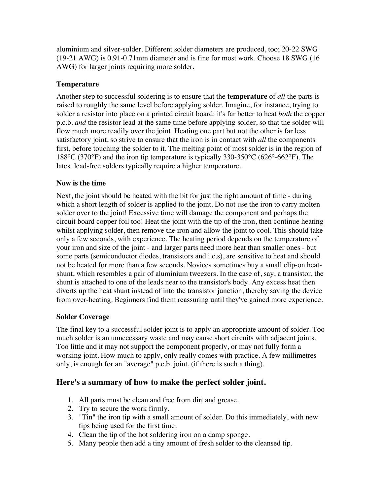aluminium and silver-solder. Different solder diameters are produced, too; 20-22 SWG (19-21 AWG) is 0.91-0.71mm diameter and is fine for most work. Choose 18 SWG (16 AWG) for larger joints requiring more solder.

#### **Temperature**

Another step to successful soldering is to ensure that the **temperature** of *all* the parts is raised to roughly the same level before applying solder. Imagine, for instance, trying to solder a resistor into place on a printed circuit board: it's far better to heat *both* the copper p.c.b. *and* the resistor lead at the same time before applying solder, so that the solder will flow much more readily over the joint. Heating one part but not the other is far less satisfactory joint, so strive to ensure that the iron is in contact with *all* the components first, before touching the solder to it. The melting point of most solder is in the region of 188°C (370°F) and the iron tip temperature is typically 330-350°C (626°-662°F). The latest lead-free solders typically require a higher temperature.

#### **Now is the time**

Next, the joint should be heated with the bit for just the right amount of time - during which a short length of solder is applied to the joint. Do not use the iron to carry molten solder over to the joint! Excessive time will damage the component and perhaps the circuit board copper foil too! Heat the joint with the tip of the iron, then continue heating whilst applying solder, then remove the iron and allow the joint to cool. This should take only a few seconds, with experience. The heating period depends on the temperature of your iron and size of the joint - and larger parts need more heat than smaller ones - but some parts (semiconductor diodes, transistors and i.c.s), are sensitive to heat and should not be heated for more than a few seconds. Novices sometimes buy a small clip-on heatshunt, which resembles a pair of aluminium tweezers. In the case of, say, a transistor, the shunt is attached to one of the leads near to the transistor's body. Any excess heat then diverts up the heat shunt instead of into the transistor junction, thereby saving the device from over-heating. Beginners find them reassuring until they've gained more experience.

#### **Solder Coverage**

The final key to a successful solder joint is to apply an appropriate amount of solder. Too much solder is an unnecessary waste and may cause short circuits with adjacent joints. Too little and it may not support the component properly, or may not fully form a working joint. How much to apply, only really comes with practice. A few millimetres only, is enough for an "average" p.c.b. joint, (if there is such a thing).

#### **Here's a summary of how to make the perfect solder joint.**

- 1. All parts must be clean and free from dirt and grease.
- 2. Try to secure the work firmly.
- 3. "Tin" the iron tip with a small amount of solder. Do this immediately, with new tips being used for the first time.
- 4. Clean the tip of the hot soldering iron on a damp sponge.
- 5. Many people then add a tiny amount of fresh solder to the cleansed tip.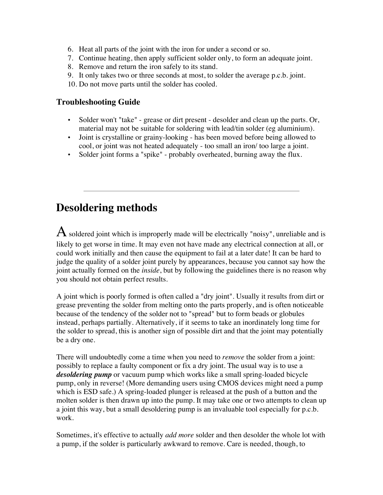- 6. Heat all parts of the joint with the iron for under a second or so.
- 7. Continue heating, then apply sufficient solder only, to form an adequate joint.
- 8. Remove and return the iron safely to its stand.
- 9. It only takes two or three seconds at most, to solder the average p.c.b. joint.
- 10. Do not move parts until the solder has cooled.

#### **Troubleshooting Guide**

- Solder won't "take" grease or dirt present desolder and clean up the parts. Or, material may not be suitable for soldering with lead/tin solder (eg aluminium).
- Joint is crystalline or grainy-looking has been moved before being allowed to cool, or joint was not heated adequately - too small an iron/ too large a joint.
- Solder joint forms a "spike" probably overheated, burning away the flux.

## **Desoldering methods**

 $A$  soldered joint which is improperly made will be electrically "noisy", unreliable and is likely to get worse in time. It may even not have made any electrical connection at all, or could work initially and then cause the equipment to fail at a later date! It can be hard to judge the quality of a solder joint purely by appearances, because you cannot say how the joint actually formed on the *inside*, but by following the guidelines there is no reason why you should not obtain perfect results.

A joint which is poorly formed is often called a "dry joint". Usually it results from dirt or grease preventing the solder from melting onto the parts properly, and is often noticeable because of the tendency of the solder not to "spread" but to form beads or globules instead, perhaps partially. Alternatively, if it seems to take an inordinately long time for the solder to spread, this is another sign of possible dirt and that the joint may potentially be a dry one.

There will undoubtedly come a time when you need to *remove* the solder from a joint: possibly to replace a faulty component or fix a dry joint. The usual way is to use a *desoldering pump* or vacuum pump which works like a small spring-loaded bicycle pump, only in reverse! (More demanding users using CMOS devices might need a pump which is ESD safe.) A spring-loaded plunger is released at the push of a button and the molten solder is then drawn up into the pump. It may take one or two attempts to clean up a joint this way, but a small desoldering pump is an invaluable tool especially for p.c.b. work.

Sometimes, it's effective to actually *add more* solder and then desolder the whole lot with a pump, if the solder is particularly awkward to remove. Care is needed, though, to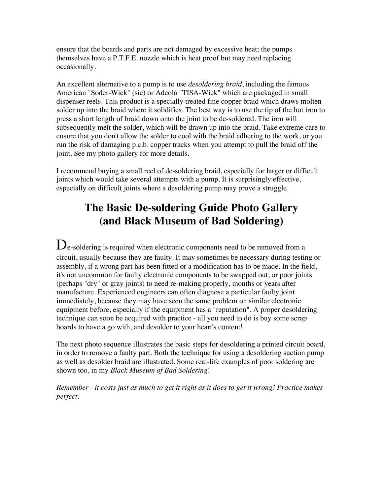ensure that the boards and parts are not damaged by excessive heat; the pumps themselves have a P.T.F.E. nozzle which is heat proof but may need replacing occasionally.

An excellent alternative to a pump is to use *desoldering braid*, including the famous American "Soder-Wick" (sic) or Adcola "TISA-Wick" which are packaged in small dispenser reels. This product is a specially treated fine copper braid which draws molten solder up into the braid where it solidifies. The best way is to use the tip of the hot iron to press a short length of braid down onto the joint to be de-soldered. The iron will subsequently melt the solder, which will be drawn up into the braid. Take extreme care to ensure that you don't allow the solder to cool with the braid adhering to the work, or you run the risk of damaging p.c.b. copper tracks when you attempt to pull the braid off the joint. See my photo gallery for more details.

I recommend buying a small reel of de-soldering braid, especially for larger or difficult joints which would take several attempts with a pump. It is surprisingly effective, especially on difficult joints where a desoldering pump may prove a struggle.

## **The Basic De-soldering Guide Photo Gallery (and Black Museum of Bad Soldering)**

De-soldering is required when electronic components need to be removed from a circuit, usually because they are faulty. It may sometimes be necessary during testing or assembly, if a wrong part has been fitted or a modification has to be made. In the field, it's not uncommon for faulty electronic components to be swapped out, or poor joints (perhaps "dry" or gray joints) to need re-making properly, months or years after manufacture. Experienced engineers can often diagnose a particular faulty joint immediately, because they may have seen the same problem on similar electronic equipment before, especially if the equipment has a "reputation". A proper desoldering technique can soon be acquired with practice - all you need to do is buy some scrap boards to have a go with, and desolder to your heart's content!

The next photo sequence illustrates the basic steps for desoldering a printed circuit board, in order to remove a faulty part. Both the technique for using a desoldering suction pump as well as desolder braid are illustrated. Some real-life examples of poor soldering are shown too, in my *Black Museum of Bad Soldering*!

*Remember - it costs just as much to get it right as it does to get it wrong! Practice makes perfect.*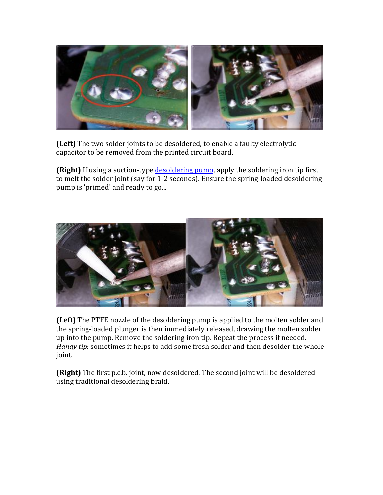

**(Left)** The two solder joints to be desoldered, to enable a faulty electrolytic capacitor to be removed from the printed circuit board.

**(Right)** If using a suction-type desoldering pump, apply the soldering iron tip first to melt the solder joint (say for 1-2 seconds). Ensure the spring-loaded desoldering pump is 'primed' and ready to go...



**(Left)** The PTFE nozzle of the desoldering pump is applied to the molten solder and the spring-loaded plunger is then immediately released, drawing the molten solder up into the pump. Remove the soldering iron tip. Repeat the process if needed. *Handy tip*: sometimes it helps to add some fresh solder and then desolder the whole joint. 

**(Right)** The first p.c.b. joint, now desoldered. The second joint will be desoldered using traditional desoldering braid.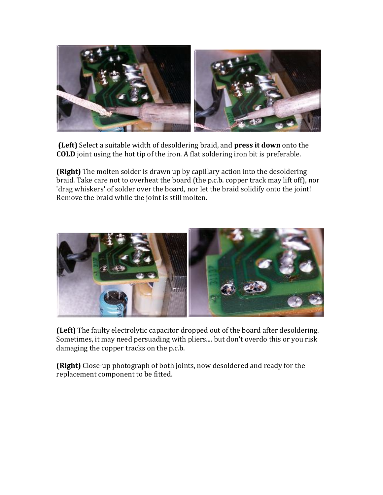

**(Left)** Select a suitable width of desoldering braid, and **press it down** onto the **COLD** joint using the hot tip of the iron. A flat soldering iron bit is preferable.

**(Right)** The molten solder is drawn up by capillary action into the desoldering braid. Take care not to overheat the board (the p.c.b. copper track may lift off), nor 'drag whiskers' of solder over the board, nor let the braid solidify onto the joint! Remove the braid while the joint is still molten.



**(Left)** The faulty electrolytic capacitor dropped out of the board after desoldering. Sometimes, it may need persuading with pliers.... but don't overdo this or you risk damaging the copper tracks on the p.c.b.

**(Right)** Close-up photograph of both joints, now desoldered and ready for the replacement component to be fitted.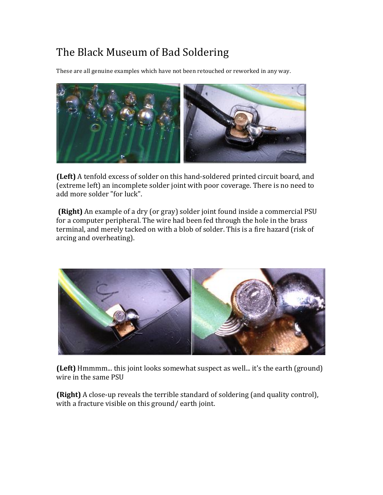## The Black Museum of Bad Soldering

These are all genuine examples which have not been retouched or reworked in any way.



**(Left)** A tenfold excess of solder on this hand-soldered printed circuit board, and (extreme left) an incomplete solder joint with poor coverage. There is no need to add more solder "for luck".

**(Right)** An example of a dry (or gray) solder joint found inside a commercial PSU for a computer peripheral. The wire had been fed through the hole in the brass terminal, and merely tacked on with a blob of solder. This is a fire hazard (risk of arcing and overheating).



**(Left)** Hmmmm... this joint looks somewhat suspect as well... it's the earth (ground) wire in the same PSU

**(Right)** A close-up reveals the terrible standard of soldering (and quality control), with a fracture visible on this ground/ earth joint.